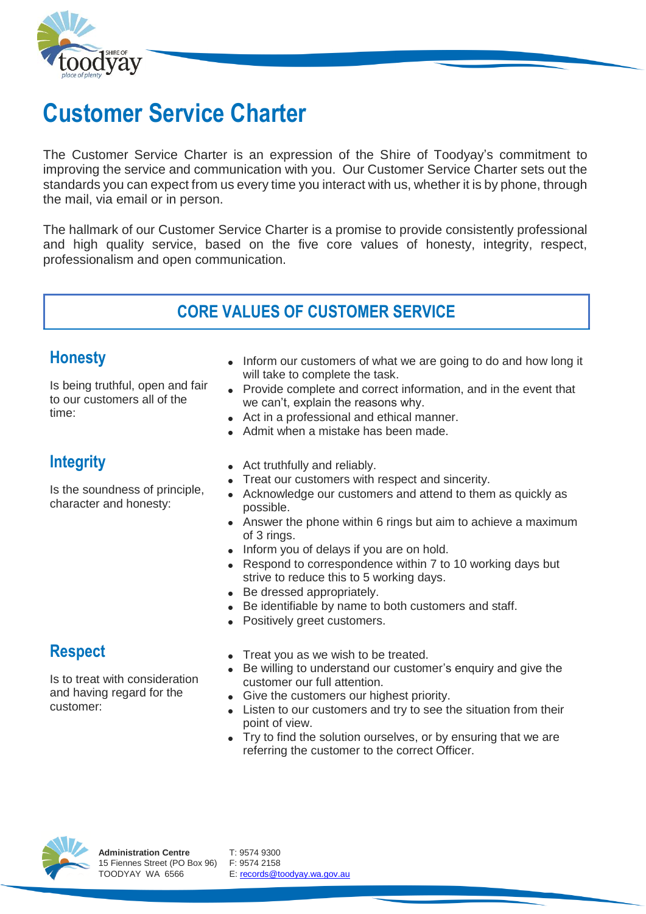

# **Customer Service Charter**

The Customer Service Charter is an expression of the Shire of Toodyay's commitment to improving the service and communication with you. Our Customer Service Charter sets out the standards you can expect from us every time you interact with us, whether it is by phone, through the mail, via email or in person.

The hallmark of our Customer Service Charter is a promise to provide consistently professional and high quality service, based on the five core values of honesty, integrity, respect, professionalism and open communication.

# **CORE VALUES OF CUSTOMER SERVICE**

#### **Honesty**

Is being truthful, open and fair to our customers all of the time:

- Inform our customers of what we are going to do and how long it will take to complete the task.
- Provide complete and correct information, and in the event that we can't, explain the reasons why.
- Act in a professional and ethical manner.
- Admit when a mistake has been made.

## **Integrity**

Is the soundness of principle, character and honesty:

- Act truthfully and reliably.
- Treat our customers with respect and sincerity.
- Acknowledge our customers and attend to them as quickly as possible.
- Answer the phone within 6 rings but aim to achieve a maximum of 3 rings.
- Inform you of delays if you are on hold.
- Respond to correspondence within 7 to 10 working days but strive to reduce this to 5 working days.
- Be dressed appropriately.
- Be identifiable by name to both customers and staff.
- Positively greet customers.

# **Respect**

Is to treat with consideration and having regard for the customer:

- Treat you as we wish to be treated.
- Be willing to understand our customer's enquiry and give the customer our full attention.
- Give the customers our highest priority.
- Listen to our customers and try to see the situation from their point of view.
- Try to find the solution ourselves, or by ensuring that we are referring the customer to the correct Officer.



TOODYAY WA 6566 E[: records@toodyay.wa.gov.au](mailto:records@toodyay.wa.gov.au)